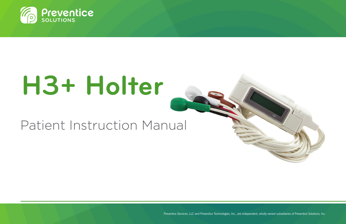

# **H3+ Holter**

## Patient Instruction Manual

1 Preventice Services, LLC and Preventice Technologies, Inc., are independent, wholly owned subsidiaries of Preventice Solutions, Inc.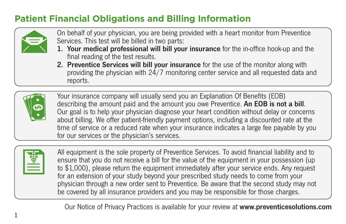#### **Patient Financial Obligations and Billing Information**



- On behalf of your physician, you are being provided with a heart monitor from Preventice Services. This test will be billed in two parts:
- 1. Your medical professional will bill your insurance for the in-office hook-up and the final reading of the test results.
- 2. Preventice Services will bill your insurance for the use of the monitor along with providing the physician with 24/7 monitoring center service and all requested data and reports.



Your insurance company will usually send you an Explanation Of Benefits (EOB)<br>describing the amount paid and the amount you owe Preventice. An EOB is not a bill. Our goal is to help your physician diagnose your heart condition without delay or concerns about billing. We offer patient-friendly payment options, including a discounted rate at the time of service or a reduced rate when your insurance indicates a large fee payable by you for our services or the physician's services.

|--|

1

All equipment is the sole property of Preventice Services. To avoid financial liability and to ensure that you do not receive a bill for the value of the equipment in your possession (up to \$1,000), please return the equipment immediately after your service ends. Any request for an extension of your study beyond your prescribed study needs to come from your physician through a new order sent to Preventice. Be aware that the second study may not be covered by all insurance providers and you may be responsible for those charges.

Our Notice of Privacy Practices is available for your review at www.preventicesolutions.com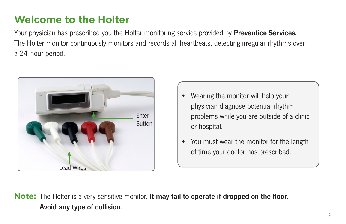### **Welcome to the Holter**

Your physician has prescribed you the Holter monitoring service provided by **Preventice Services.** The Holter monitor continuously monitors and records all heartbeats, detecting irregular rhythms over a 24-hour period.



- Wearing the monitor will help your physician diagnose potential rhythm problems while you are outside of a clinic or hospital.
- You must wear the monitor for the length of time your doctor has prescribed.

**Note:** The Holter is a very sensitive monitor. It may fail to operate if dropped on the floor. Avoid any type of collision.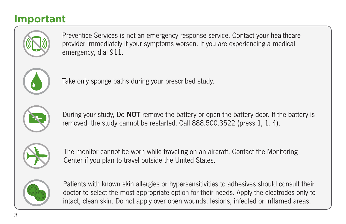#### **Important**



Preventice Services is not an emergency response service. Contact your healthcare provider immediately if your symptoms worsen. If you are experiencing a medical emergency, dial 911.



Take only sponge baths during your prescribed study.



During your study, Do **NOT** remove the battery or open the battery door. If the battery is removed, the study cannot be restarted. Call 888.500.3522 (press 1, 1, 4).



The monitor cannot be worn while traveling on an aircraft. Contact the Monitoring Center if you plan to travel outside the United States.



Patients with known skin allergies or hypersensitivities to adhesives should consult their doctor to select the most appropriate option for their needs. Apply the electrodes only to intact, clean skin. Do not apply over open wounds, lesions, infected or inflamed areas.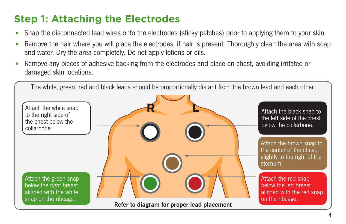## **Step 1: Attaching the Electrodes**

- Snap the disconnected lead wires onto the electrodes (sticky patches) prior to applying them to your skin.
- Remove the hair where you will place the electrodes, if hair is present. Thoroughly clean the area with soap and water. Dry the area completely. Do not apply lotions or oils.
- Remove any pieces of adhesive backing from the electrodes and place on chest, avoiding irritated or damaged skin locations.

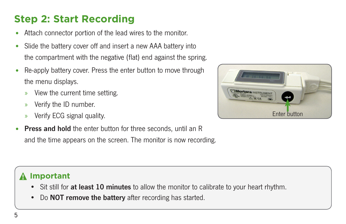## **Step 2: Start Recording**

- Attach connector portion of the lead wires to the monitor.
- Slide the battery cover off and insert a new AAA battery into the compartment with the negative (flat) end against the spring.
- Re-apply battery cover. Press the enter button to move through the menu displays.
	- » View the current time setting.
	- » Verify the ID number.
	- » Verify ECG signal quality.
- Press and hold the enter button for three seconds, until an R and the time appears on the screen. The monitor is now recording.



#### **Important**

- Sit still for at least 10 minutes to allow the monitor to calibrate to your heart rhythm.
- Do **NOT remove the battery** after recording has started.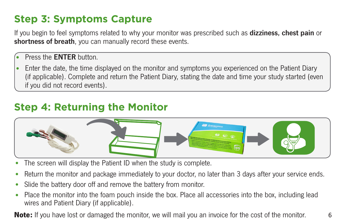## **Step 3: Symptoms Capture**

If you begin to feel symptoms related to why your monitor was prescribed such as **dizziness, chest pain** or shortness of breath, you can manually record these events.

- Press the **ENTER** button.
- Enter the date, the time displayed on the monitor and symptoms you experienced on the Patient Diary (if applicable). Complete and return the Patient Diary, stating the date and time your study started (even if you did not record events).

#### **Step 4: Returning the Monitor**



- The screen will display the Patient ID when the study is complete.
- Return the monitor and package immediately to your doctor, no later than 3 days after your service ends.
- Slide the battery door off and remove the battery from monitor.
- Place the monitor into the foam pouch inside the box. Place all accessories into the box, including lead wires and Patient Diary (if applicable).

**Note:** If you have lost or damaged the monitor, we will mail you an invoice for the cost of the monitor.